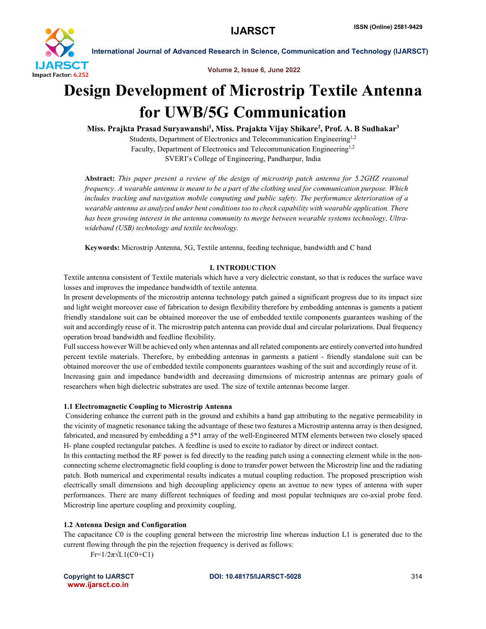

International Journal of Advanced Research in Science, Communication and Technology (IJARSCT)

Volume 2, Issue 6, June 2022

# Design Development of Microstrip Textile Antenna for UWB/5G Communication

Miss. Prajkta Prasad Suryawanshi<sup>1</sup>, Miss. Prajakta Vijay Shikare<sup>2</sup>, Prof. A. B Sudhakar<sup>3</sup>

Students, Department of Electronics and Telecommunication Engineering<sup>1,2</sup> Faculty, Department of Electronics and Telecommunication Engineering<sup>1,2</sup> SVERI's College of Engineering, Pandharpur, India

Abstract: *This paper present a review of the design of microstrip patch antenna for 5.2GHZ reasonal frequency. A wearable antenna is meant to be a part of the clothing used for communication purpose. Which includes tracking and navigation mobile computing and public safety. The performance deterioration of a wearable antenna as analyzed under bent conditions too to check capability with wearable application. There has been growing interest in the antenna community to merge between wearable systems technology, Ultrawideband (USB) technology and textile technology.*

Keywords: Microstrip Antenna, 5G, Textile antenna, feeding technique, bandwidth and C band

### I. INTRODUCTION

Textile antenna consistent of Textile materials which have a very dielectric constant, so that is reduces the surface wave losses and improves the impedance bandwidth of textile antenna.

In present developments of the microstrip antenna technology patch gained a significant progress due to its impact size and light weight moreover ease of fabrication to design flexibility therefore by embedding antennas is gaments a patient friendly standalone suit can be obtained moreover the use of embedded textile components guarantees washing of the suit and accordingly reuse of it. The microstrip patch antenna can provide dual and circular polarizations. Dual frequency operation broad bandwidth and feedline flexibility.

Full success however Will be achieved only when antennas and all related components are entirely converted into hundred percent textile materials. Therefore, by embedding antennas in garments a patient - friendly standalone suit can be obtained moreover the use of embedded textile components guarantees washing of the suit and accordingly reuse of it. Increasing gain and impedance bandwidth and decreasing dimensions of microstrip antennas are primary goals of researchers when high dielectric substrates are used. The size of textile antennas become larger.

### 1.1 Electromagnetic Coupling to Microstrip Antenna

Considering enhance the current path in the ground and exhibits a band gap attributing to the negative permeability in the vicinity of magnetic resonance taking the advantage of these two features a Microstrip antenna array is then designed, fabricated, and measured by embedding a 5\*1 array of the well-Engineered MTM elements between two closely spaced H- plane coupled rectangular patches. A feedline is used to excite to radiator by direct or indirect contact.

In this contacting method the RF power is fed directly to the reading patch using a connecting element while in the nonconnecting scheme electromagnetic field coupling is done to transfer power between the Microstrip line and the radiating patch. Both numerical and experimental results indicates a mutual coupling reduction. The proposed prescription wish electrically small dimensions and high decoupling appliciency opens an avenue to new types of antenna with super performances. There are many different techniques of feeding and most popular techniques are co-axial probe feed. Microstrip line aperture coupling and proximity coupling.

### 1.2 Antenna Design and Configuration

The capacitance C0 is the coupling general between the microstrip line whereas induction L1 is generated due to the current flowing through the pin the rejection frequency is derived as follows:

 $Fr=1/2\pi\sqrt{L1(C0+C1)}$ 

www.ijarsct.co.in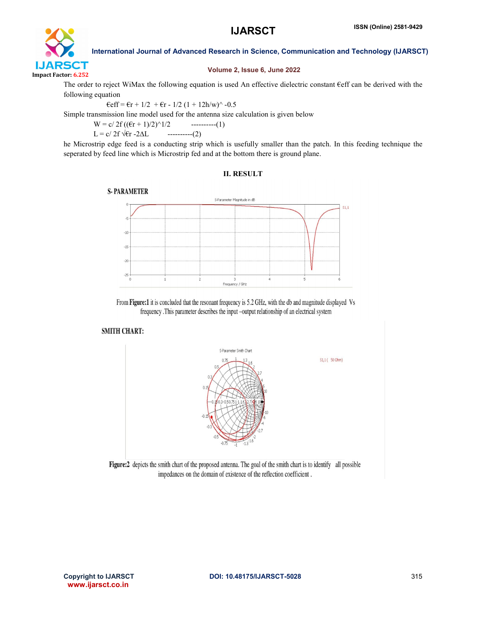

International Journal of Advanced Research in Science, Communication and Technology (IJARSCT)

### Volume 2, Issue 6, June 2022

The order to reject WiMax the following equation is used An effective dielectric constant €eff can be derived with the following equation

 $\text{eff} = \text{er} + 1/2 + \text{er} - 1/2 (1 + 12 \text{h/w})^2 - 0.5$ 

Simple transmission line model used for the antenna size calculation is given below

 $W = c/ 2f ((\epsilon r + 1)/2)^{1/2}$  ----------(1)  $L = c / 2f \sqrt{6r - 2\Delta L}$  ----------(2)

he Microstrip edge feed is a conducting strip which is usefully smaller than the patch. In this feeding technique the seperated by feed line which is Microstrip fed and at the bottom there is ground plane.

### II. RESULT



From Figure:1 it is concluded that the resonant frequency is 5.2 GHz, with the db and magnitude displayed Vs frequency .This parameter describes the input -output relationship of an electrical system

### **SMITH CHART:**



Figure:2 depicts the smith chart of the proposed antenna. The goal of the smith chart is to identify all possible impedances on the domain of existence of the reflection coefficient.

www.ijarsct.co.in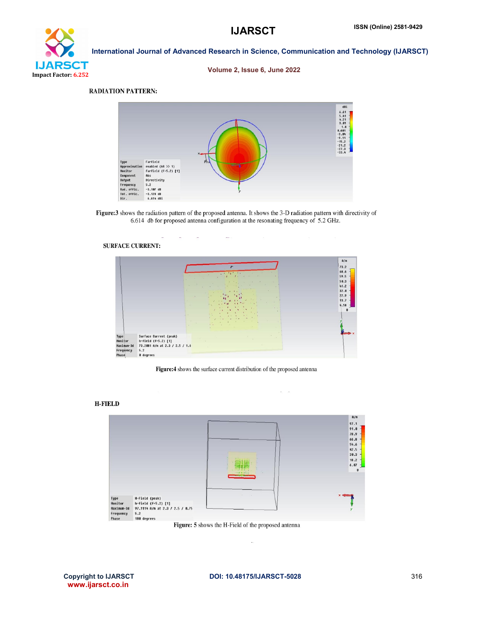## International Journal of Advanced Research in Science, Communication and Technology (IJARSCT) **IJARSCT** Impact Factor: 6.252

### Volume 2, Issue 6, June 2022

### **RADIATION PATTERN:**



Figure:3 shows the radiation pattern of the proposed antenna. It shows the 3-D radiation pattern with directivity of 6.614 db for proposed antenna configuration at the resonating frequency of 5.2 GHz.



Figure:4 shows the surface current distribution of the proposed antenna

 $\sim$   $\sim$ 





Figure: 5 shows the H-Field of the proposed antenna

www.ijarsct.co.in

k.